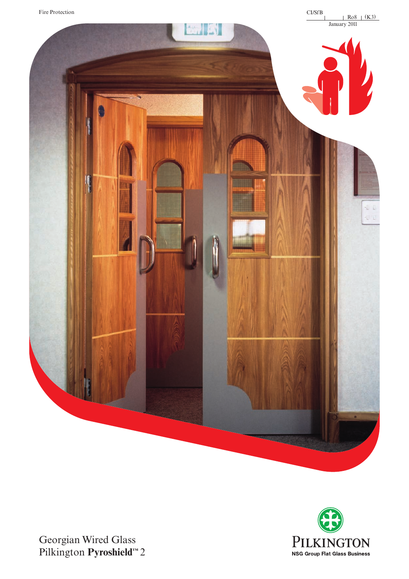



Georgian Wired Glass Pilkington **Pyroshield™** 2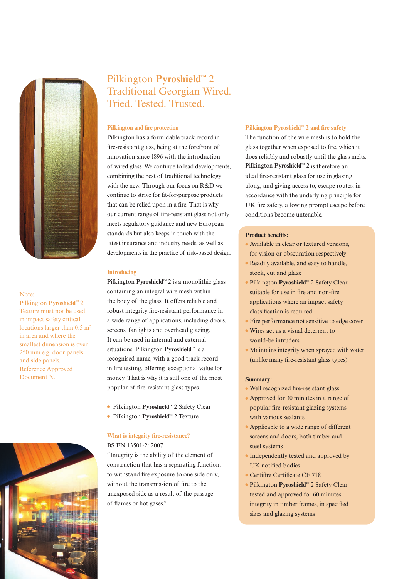

#### Note:

Pilkington **Pyroshield™** 2 Texture must not be used in impact safety critical locations larger than 0.5 m2 in area and where the smallest dimension is over 250 mm e.g. door panels and side panels. Reference Approved Document N.

# Pilkington **Pyroshield™** 2 Traditional Georgian Wired. Tried. Tested. Trusted.

#### **Pilkington and fire protection**

Pilkington has a formidable track record in fire-resistant glass, being at the forefront of innovation since 1896 with the introduction of wired glass. We continue to lead developments, combining the best of traditional technology with the new. Through our focus on R&D we continue to strive for fit-for-purpose products that can be relied upon in a fire. That is why our current range of fire-resistant glass not only meets regulatory guidance and new European standards but also keeps in touch with the latest insurance and industry needs, as well as developments in the practice of risk-based design.

#### **Introducing**

Pilkington **Pyroshield™** 2 is a monolithic glass containing an integral wire mesh within the body of the glass. It offers reliable and robust integrity fire-resistant performance in a wide range of applications, including doors, screens, fanlights and overhead glazing. It can be used in internal and external situations. Pilkington **Pyroshield™** is a recognised name, with a good track record in fire testing, offering exceptional value for money. That is why it is still one of the most popular of fire-resistant glass types.

- <sup>l</sup>Pilkington **Pyroshield™** 2 Safety Clear
- <sup>l</sup>Pilkington **Pyroshield™** 2 Texture

## **What is integrity fire-resistance?**  BS EN 13501-2: 2007

"Integrity is the ability of the element of construction that has a separating function, to withstand fire exposure to one side only, without the transmission of fire to the unexposed side as a result of the passage of flames or hot gases."

#### **Pilkington Pyroshield™ 2 and fire safety**

The function of the wire mesh is to hold the glass together when exposed to fire, which it does reliably and robustly until the glass melts. Pilkington **Pyroshield™** 2 is therefore an ideal fire-resistant glass for use in glazing along, and giving access to, escape routes, in accordance with the underlying principle for UK fire safety, allowing prompt escape before conditions become untenable.

### **Product benefits:**

- **•** Available in clear or textured versions, for vision or obscuration respectively
- <sup>l</sup>Readily available, and easy to handle, stock, cut and glaze
- <sup>l</sup>Pilkington **Pyroshield™** 2 Safety Clear suitable for use in fire and non-fire applications where an impact safety classification is required
- **•** Fire performance not sensitive to edge cover
- Wires act as a visual deterrent to would-be intruders
- **Maintains integrity when sprayed with water** (unlike many fire-resistant glass types)

#### **Summary:**

- <sup>l</sup>Well recognized fire-resistant glass
- <sup>l</sup>Approved for 30 minutes in a range of popular fire-resistant glazing systems with various sealants
- <sup>l</sup>Applicable to a wide range of different screens and doors, both timber and steel systems
- **•** Independently tested and approved by UK notified bodies
- <sup>l</sup>Certifire Certificate CF 718
- <sup>l</sup>Pilkington **Pyroshield™** 2 Safety Clear tested and approved for 60 minutes integrity in timber frames, in specified sizes and glazing systems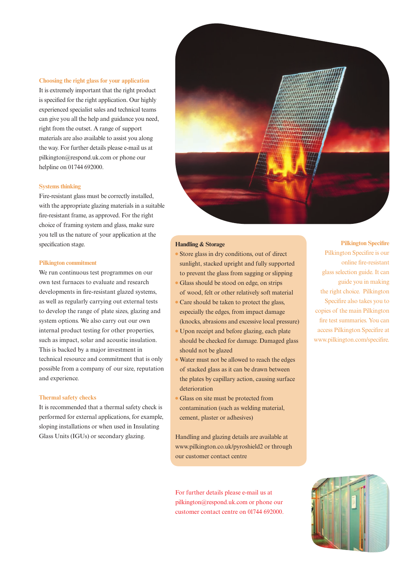#### **Choosing the right glass for your application**

It is extremely important that the right product is specified for the right application. Our highly experienced specialist sales and technical teams can give you all the help and guidance you need, right from the outset. A range of support materials are also available to assist you along the way. For further details please e-mail us at pilkington@respond.uk.com or phone our helpline on 01744 692000.

#### **Systems thinking**

Fire-resistant glass must be correctly installed, with the appropriate glazing materials in a suitable fire-resistant frame, as approved. For the right choice of framing system and glass, make sure you tell us the nature of your application at the specification stage.

#### **Pilkington commitment**

We run continuous test programmes on our own test furnaces to evaluate and research developments in fire-resistant glazed systems, as well as regularly carrying out external tests to develop the range of plate sizes, glazing and system options. We also carry out our own internal product testing for other properties, such as impact, solar and acoustic insulation. This is backed by a major investment in technical resource and commitment that is only possible from a company of our size, reputation and experience.

#### **Thermal safety checks**

It is recommended that a thermal safety check is performed for external applications, for example, sloping installations or when used in Insulating Glass Units (IGUs) or secondary glazing.



### **Handling & Storage**

- <sup>l</sup>Store glass in dry conditions, out of direct sunlight, stacked upright and fully supported to prevent the glass from sagging or slipping
- <sup>l</sup>Glass should be stood on edge, on strips of wood, felt or other relatively soft material
- <sup>l</sup>Care should be taken to protect the glass, especially the edges, from impact damage (knocks, abrasions and excessive local pressure)
- <sup>l</sup>Upon receipt and before glazing, each plate should be checked for damage. Damaged glass should not be glazed
- <sup>l</sup>Water must not be allowed to reach the edges of stacked glass as it can be drawn between the plates by capillary action, causing surface deterioration
- <sup>l</sup>Glass on site must be protected from contamination (such as welding material, cement, plaster or adhesives)

Handling and glazing details are available at www.pilkington.co.uk/pyroshield2 or through our customer contact centre

For further details please e-mail us at pilkington@respond.uk.com or phone our customer contact centre on 01744 692000.

#### **Pilkington Specifire**

Pilkington Specifire is our online fire-resistant glass selection guide. It can guide you in making the right choice. Pilkington Specifire also takes you to copies of the main Pilkington fire test summaries. You can access Pilkington Specifire at www.pilkington.com/specifire.